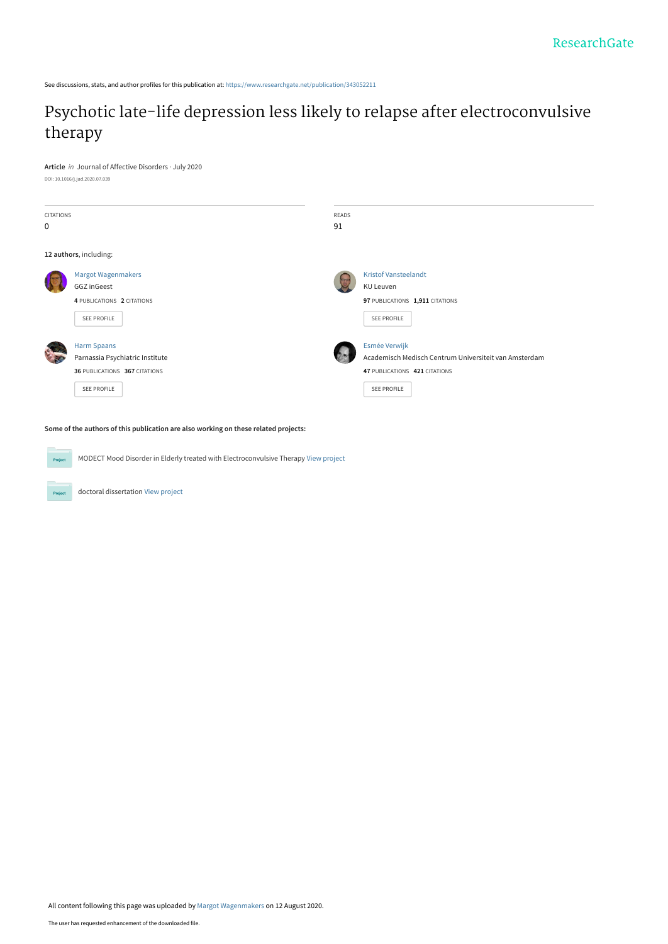See discussions, stats, and author profiles for this publication at: [https://www.researchgate.net/publication/343052211](https://www.researchgate.net/publication/343052211_Psychotic_late-life_depression_less_likely_to_relapse_after_electroconvulsive_therapy?enrichId=rgreq-c573c89ad9be7978037e3d18afacfd29-XXX&enrichSource=Y292ZXJQYWdlOzM0MzA1MjIxMTtBUzo5MjM2MjIwNTUxMTI3MDRAMTU5NzIyMDA2NjE3OA%3D%3D&el=1_x_2&_esc=publicationCoverPdf)

# [Psychotic late-life depression less likely to relapse after electroconvulsive](https://www.researchgate.net/publication/343052211_Psychotic_late-life_depression_less_likely_to_relapse_after_electroconvulsive_therapy?enrichId=rgreq-c573c89ad9be7978037e3d18afacfd29-XXX&enrichSource=Y292ZXJQYWdlOzM0MzA1MjIxMTtBUzo5MjM2MjIwNTUxMTI3MDRAMTU5NzIyMDA2NjE3OA%3D%3D&el=1_x_3&_esc=publicationCoverPdf) therapy

**Article** in Journal of Affective Disorders · July 2020 DOI: 10.1016/j.jad.2020.07.039

| CITATIONS   |                                 | <b>READS</b> |                                                       |
|-------------|---------------------------------|--------------|-------------------------------------------------------|
| 0           |                                 | 91           |                                                       |
|             |                                 |              |                                                       |
|             | 12 authors, including:          |              |                                                       |
|             | <b>Margot Wagenmakers</b>       |              | <b>Kristof Vansteelandt</b>                           |
|             | <b>GGZ</b> inGeest              |              | KU Leuven                                             |
|             | 4 PUBLICATIONS 2 CITATIONS      |              | 97 PUBLICATIONS 1,911 CITATIONS                       |
|             | SEE PROFILE                     |              | SEE PROFILE                                           |
|             |                                 |              |                                                       |
|             | <b>Harm Spaans</b>              |              | Esmée Verwijk                                         |
| <b>PART</b> | Parnassia Psychiatric Institute |              | Academisch Medisch Centrum Universiteit van Amsterdam |
|             | 36 PUBLICATIONS 367 CITATIONS   |              | 47 PUBLICATIONS 421 CITATIONS                         |
|             | <b>SEE PROFILE</b>              |              | SEE PROFILE                                           |
|             |                                 |              |                                                       |
|             |                                 |              |                                                       |

**Some of the authors of this publication are also working on these related projects:**

MODECT Mood Disorder in Elderly treated with Electroconvulsive Therapy [View project](https://www.researchgate.net/project/MODECT-Mood-Disorder-in-Elderly-treated-with-Electroconvulsive-Therapy?enrichId=rgreq-c573c89ad9be7978037e3d18afacfd29-XXX&enrichSource=Y292ZXJQYWdlOzM0MzA1MjIxMTtBUzo5MjM2MjIwNTUxMTI3MDRAMTU5NzIyMDA2NjE3OA%3D%3D&el=1_x_9&_esc=publicationCoverPdf) **Project** 

doctoral dissertation [View project](https://www.researchgate.net/project/doctoral-dissertation-7?enrichId=rgreq-c573c89ad9be7978037e3d18afacfd29-XXX&enrichSource=Y292ZXJQYWdlOzM0MzA1MjIxMTtBUzo5MjM2MjIwNTUxMTI3MDRAMTU5NzIyMDA2NjE3OA%3D%3D&el=1_x_9&_esc=publicationCoverPdf)

Project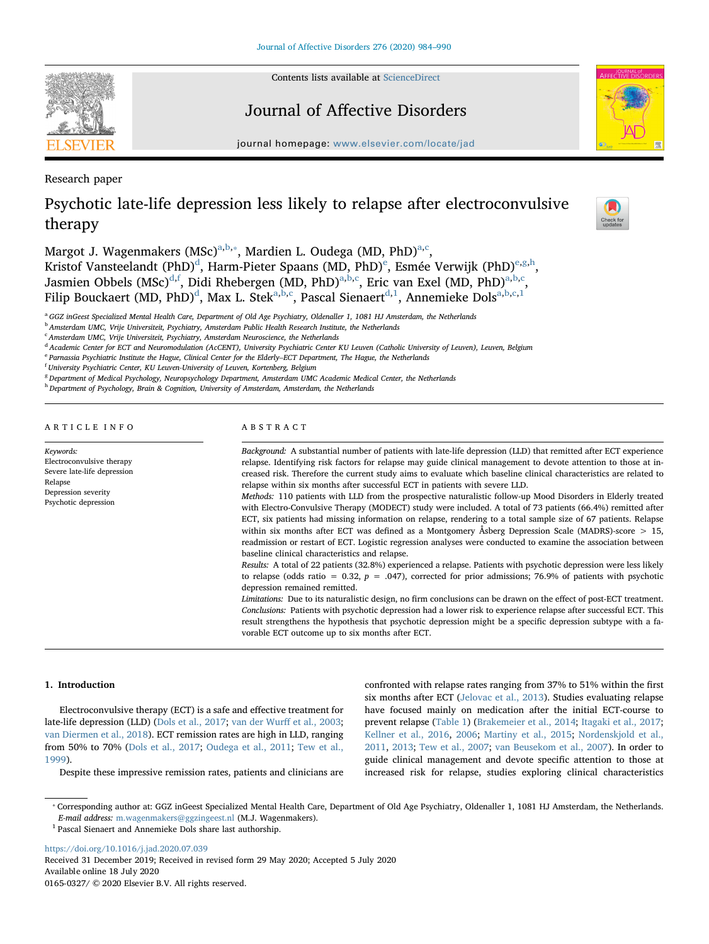Contents lists available at [ScienceDirect](http://www.sciencedirect.com/science/journal/01650327)



### Journal of Affective Disorders



journal homepage: [www.elsevier.com/locate/jad](https://www.elsevier.com/locate/jad)

Research paper

## Psychotic late-life depression less likely to relapse after electroconvulsive therapy



M[a](#page-1-0)rgot J. Wagenmakers (MSc)<sup>a[,b,](#page-1-1)</sup>\*, Mardien L. Oudega (MD, PhD)<sup>[a,](#page-1-0)[c](#page-1-3)</sup>, Kristof Vansteelan[d](#page-1-4)t (PhD)<sup>d</sup>, Harm-Pi[e](#page-1-5)ter Spaans (MD, PhD)<sup>e</sup>, Esmée Verwijk (PhD)<sup>[e,](#page-1-5)[g](#page-1-6)[,h](#page-1-7)</sup>, Jasmien Obbels (MSc)<sup>[d,](#page-1-4)[f](#page-1-8)</sup>, Didi Rhebergen (MD, PhD)<sup>[a](#page-1-0),[b,](#page-1-1)[c](#page-1-3)</sup>, Eric van Exel (MD, PhD)<sup>[a,](#page-1-0)[b](#page-1-1)[,c](#page-1-3)</sup>, Filip Bou[c](#page-1-3)kaert (MD, PhD) $^{\rm d}$  $^{\rm d}$  $^{\rm d}$ , Max L. Stek $^{\rm a,b,c}$  $^{\rm a,b,c}$  $^{\rm a,b,c}$  $^{\rm a,b,c}$  $^{\rm a,b,c}$ , Pascal Sienaert $^{\rm d,1}$  $^{\rm d,1}$  $^{\rm d,1}$ , Annemieke Dols $^{\rm a,b,c,1}$ 

<span id="page-1-0"></span><sup>a</sup> GGZ inGeest Specialized Mental Health Care, Department of Old Age Psychiatry, Oldenaller 1, 1081 HJ Amsterdam, the Netherlands

<span id="page-1-1"></span><sup>b</sup> Amsterdam UMC, Vrije Universiteit, Psychiatry, Amsterdam Public Health Research Institute, the Netherlands

<span id="page-1-3"></span> $c$  Amsterdam UMC, Vrije Universiteit, Psychiatry, Amsterdam Neuroscience, the Netherlands

<span id="page-1-4"></span><sup>d</sup> Academic Center for ECT and Neuromodulation (AcCENT), University Psychiatric Center KU Leuven (Catholic University of Leuven), Leuven, Belgium

<span id="page-1-5"></span><sup>e</sup> Parnassia Psychiatric Institute the Hague, Clinical Center for the Elderly–ECT Department, The Hague, the Netherlands

<span id="page-1-8"></span><sup>f</sup> University Psychiatric Center, KU Leuven-University of Leuven, Kortenberg, Belgium

<span id="page-1-6"></span> $8$  Department of Medical Psychology, Neuropsychology Department, Amsterdam UMC Academic Medical Center, the Netherlands

<span id="page-1-7"></span><sup>h</sup> Department of Psychology, Brain & Cognition, University of Amsterdam, Amsterdam, the Netherlands

ARTICLE INFO

Keywords: Electroconvulsive therapy Severe late-life depression Relapse Depression severity Psychotic depression

ABSTRACT

Background: A substantial number of patients with late-life depression (LLD) that remitted after ECT experience relapse. Identifying risk factors for relapse may guide clinical management to devote attention to those at increased risk. Therefore the current study aims to evaluate which baseline clinical characteristics are related to relapse within six months after successful ECT in patients with severe LLD.

Methods: 110 patients with LLD from the prospective naturalistic follow-up Mood Disorders in Elderly treated with Electro-Convulsive Therapy (MODECT) study were included. A total of 73 patients (66.4%) remitted after ECT, six patients had missing information on relapse, rendering to a total sample size of 67 patients. Relapse within six months after ECT was defined as a Montgomery Åsberg Depression Scale (MADRS)-score > 15, readmission or restart of ECT. Logistic regression analyses were conducted to examine the association between baseline clinical characteristics and relapse.

Results: A total of 22 patients (32.8%) experienced a relapse. Patients with psychotic depression were less likely to relapse (odds ratio = 0.32,  $p = .047$ ), corrected for prior admissions; 76.9% of patients with psychotic depression remained remitted.

Limitations: Due to its naturalistic design, no firm conclusions can be drawn on the effect of post-ECT treatment. Conclusions: Patients with psychotic depression had a lower risk to experience relapse after successful ECT. This result strengthens the hypothesis that psychotic depression might be a specific depression subtype with a favorable ECT outcome up to six months after ECT.

#### 1. Introduction

Electroconvulsive therapy (ECT) is a safe and effective treatment for late-life depression (LLD) [\(Dols et al., 2017](#page-6-0); [van der Wur](#page-7-0)ff et al., 2003; [van Diermen et al., 2018](#page-7-1)). ECT remission rates are high in LLD, ranging from 50% to 70% [\(Dols et al., 2017](#page-6-0); [Oudega et al., 2011;](#page-7-2) [Tew et al.,](#page-7-3) [1999\)](#page-7-3).

Despite these impressive remission rates, patients and clinicians are

confronted with relapse rates ranging from 37% to 51% within the first six months after ECT ([Jelovac et al., 2013](#page-6-1)). Studies evaluating relapse have focused mainly on medication after the initial ECT-course to prevent relapse [\(Table 1\)](#page-2-0) ([Brakemeier et al., 2014;](#page-6-2) [Itagaki et al., 2017](#page-6-3); [Kellner et al., 2016,](#page-6-4) [2006](#page-6-5); [Martiny et al., 2015;](#page-7-4) [Nordenskjold et al.,](#page-7-5) [2011,](#page-7-5) [2013](#page-7-6); [Tew et al., 2007](#page-7-7); [van Beusekom et al., 2007](#page-7-8)). In order to guide clinical management and devote specific attention to those at increased risk for relapse, studies exploring clinical characteristics

<span id="page-1-2"></span>⁎ Corresponding author at: GGZ inGeest Specialized Mental Health Care, Department of Old Age Psychiatry, Oldenaller 1, 1081 HJ Amsterdam, the Netherlands. E-mail address: [m.wagenmakers@ggzingeest.nl](mailto:m.wagenmakers@ggzingeest.nl) (M.J. Wagenmakers).

<span id="page-1-9"></span> $^1$  Pascal Sienaert and Annemieke Dols share last authorship.

<https://doi.org/10.1016/j.jad.2020.07.039> Received 31 December 2019; Received in revised form 29 May 2020; Accepted 5 July 2020 Available online 18 July 2020

0165-0327/ © 2020 Elsevier B.V. All rights reserved.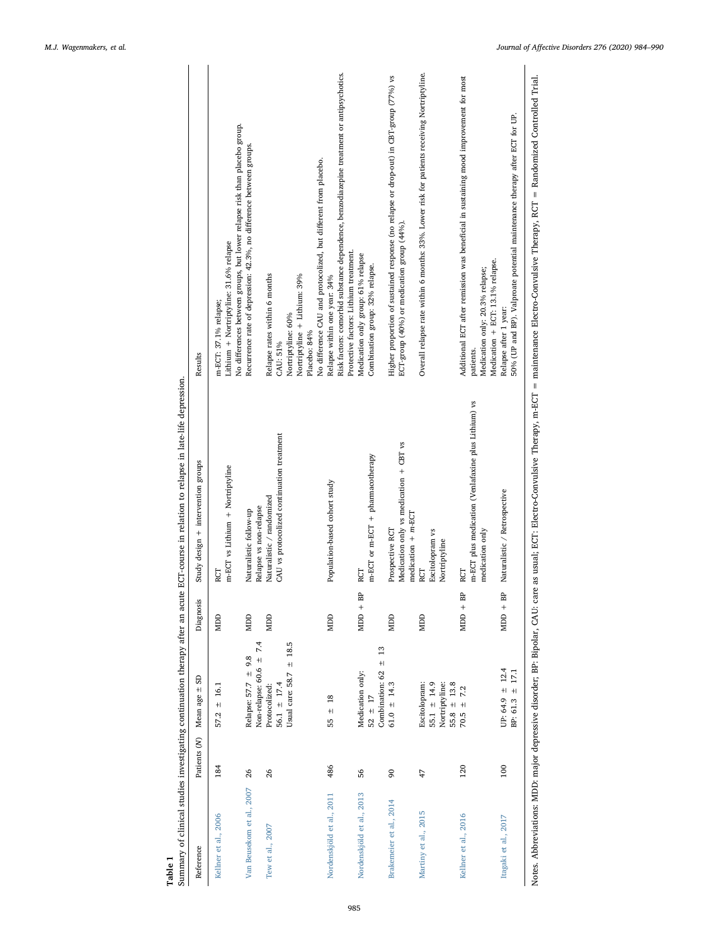<span id="page-2-0"></span>

| Table 1                   |                |                                                                       |                          | Summary of clinical studies investigating continuation therapy after an acute ECT-course in relation to relapse in late-life depression. |                                                                                                                                                                                                            |
|---------------------------|----------------|-----------------------------------------------------------------------|--------------------------|------------------------------------------------------------------------------------------------------------------------------------------|------------------------------------------------------------------------------------------------------------------------------------------------------------------------------------------------------------|
| Reference                 | Patients (N)   | Mean age ± SD                                                         | Diagnosis                | Study design + intervention groups                                                                                                       | Results                                                                                                                                                                                                    |
| Kellner et al., 2006      | 184            | $57.2 \pm 16.1$                                                       | <b>MDD</b>               | m-ECT vs Lithium + Nortriptyline<br>RCT                                                                                                  | No differences between groups, but lower relapse risk than placebo group.<br>Lithium + Nortriptyline: 31.6% relapse<br>m-ECT: 37.1% relapse;                                                               |
| Van Beusekom et al., 2007 | 26             | Non-relapse: 60.6 ± 7.4<br>Relapse: $57.7 \pm 9.8$                    | <b>UCIN</b>              | Relapse vs non-relapse<br>Naturalistic follow-up                                                                                         | Recurrence rate of depression: 42.3%, no difference between groups.                                                                                                                                        |
| Tew et al., 2007          | 26             | 56.1 $\pm$ 17.4<br>Protocolized:                                      | MDD                      | CAU vs protocolized continuation treatment<br>Naturalistic / randomized                                                                  | Relapse rates within 6 months<br>CAU: 51%                                                                                                                                                                  |
|                           |                | Usual care: 58.7 $\pm$ 18.5                                           |                          |                                                                                                                                          | Nortriptyline + Lithium: 39%<br>Nortriptyline: 60%                                                                                                                                                         |
|                           |                |                                                                       |                          |                                                                                                                                          | No difference CAU and protocolized, but different from placebo.<br>Placebo: 84%                                                                                                                            |
| Nordenskjöld et al., 2011 | 486            | $\pm$ 18<br>55                                                        | <b>NIDD</b>              | Population-based cohort study                                                                                                            | Risk factors: comorbid substance dependence, benzodiazepine treatment or antipsychotics.<br>Protective factors: Lithium treatment.<br>Relapse within one year: 34%                                         |
| Nordenskjöld et al., 2013 | 56             | $\pm$ 13<br>Combination: 62<br>Medication only:<br>$52 \pm 17$        | BP<br>$\overline{MDD}$ + | m-ECT or m-ECT + pharmacotherapy<br>RCT                                                                                                  | Medication only group: 61% relapse<br>Combination group: 32% relapse.                                                                                                                                      |
| Brakemeier et al., 2014   | $\overline{6}$ | $61.0 \pm 14.3$                                                       | <b>NIDD</b>              | Medication only vs medication + CBT vs<br>medication + m-ECT<br>Prospective RCT                                                          | Higher proportion of sustained response (no relapse or drop-out) in CBT-group (77%) vs<br>ECT-group (40%) or medication group (44%)                                                                        |
| Martiny et al., 2015      | 47             | Escitolopram:<br>55.1 $\pm$ 14.9<br>Nortriptyline:<br>$55.8 \pm 13.8$ | <b>NIDD</b>              | Escitolopram vs<br>Nortriptyline<br>RСТ                                                                                                  | Overall relapse rate within 6 months: 33%. Lower risk for patients receiving Nortriptyline.                                                                                                                |
| Kellner et al., 2016      | 120            | $70.5 \pm 7.2$                                                        | BP<br>$\text{MDD}$ +     | m-ECT plus medication (Venlafaxine plus Lithium) vs<br>medication only<br>RCT                                                            | Additional ECT after remission was beneficial in sustaining mood improvement for most<br>Medication + ECT: 13.1% relapse.<br>Medication only: 20.3% relapse;<br>patients.                                  |
| Itagaki et al., 2017      | 100            | UP: 64.9 $\pm$ 12.4<br>17.1<br>BP: 61.3 $\pm$                         | BP<br>$MDD +$            | Naturalistic / Retrospective                                                                                                             | 50% (UP and BP). Valproate potential maintenance therapy after ECT for UP.<br>Relapse after 1 year:                                                                                                        |
|                           |                |                                                                       |                          |                                                                                                                                          | Notes. Abbreviations: MDD: major depressive disorder; BP: Bipolar, CAU: care as usual; ECT: Electro-Convulsive Therapy, m-ECT = maintenance Electro-Convulsive Therapy, RCT = Randomized Controlled Trial. |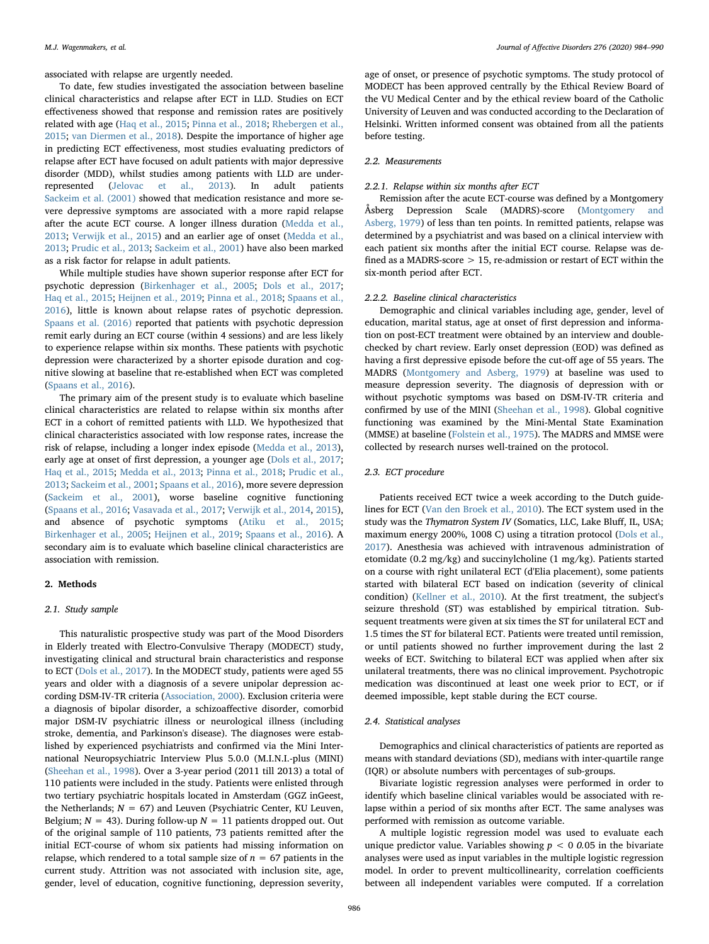associated with relapse are urgently needed.

To date, few studies investigated the association between baseline clinical characteristics and relapse after ECT in LLD. Studies on ECT effectiveness showed that response and remission rates are positively related with age [\(Haq et al., 2015](#page-6-6); [Pinna et al., 2018](#page-7-9); [Rhebergen et al.,](#page-7-10) [2015;](#page-7-10) [van Diermen et al., 2018\)](#page-7-1). Despite the importance of higher age in predicting ECT effectiveness, most studies evaluating predictors of relapse after ECT have focused on adult patients with major depressive disorder (MDD), whilst studies among patients with LLD are underrepresented [\(Jelovac et al., 2013](#page-6-1)). In adult patients [Sackeim et al. \(2001\)](#page-7-11) showed that medication resistance and more severe depressive symptoms are associated with a more rapid relapse after the acute ECT course. A longer illness duration ([Medda et al.,](#page-7-12) [2013;](#page-7-12) [Verwijk et al., 2015\)](#page-7-13) and an earlier age of onset [\(Medda et al.,](#page-7-12) [2013;](#page-7-12) [Prudic et al., 2013;](#page-7-14) [Sackeim et al., 2001](#page-7-11)) have also been marked as a risk factor for relapse in adult patients.

While multiple studies have shown superior response after ECT for psychotic depression [\(Birkenhager et al., 2005;](#page-6-7) [Dols et al., 2017](#page-6-0); [Haq et al., 2015;](#page-6-6) [Heijnen et al., 2019;](#page-6-8) [Pinna et al., 2018](#page-7-9); [Spaans et al.,](#page-7-15) [2016\)](#page-7-15), little is known about relapse rates of psychotic depression. [Spaans et al. \(2016\)](#page-7-15) reported that patients with psychotic depression remit early during an ECT course (within 4 sessions) and are less likely to experience relapse within six months. These patients with psychotic depression were characterized by a shorter episode duration and cognitive slowing at baseline that re-established when ECT was completed ([Spaans et al., 2016](#page-7-15)).

The primary aim of the present study is to evaluate which baseline clinical characteristics are related to relapse within six months after ECT in a cohort of remitted patients with LLD. We hypothesized that clinical characteristics associated with low response rates, increase the risk of relapse, including a longer index episode ([Medda et al., 2013](#page-7-12)), early age at onset of first depression, a younger age ([Dols et al., 2017](#page-6-0); [Haq et al., 2015;](#page-6-6) [Medda et al., 2013;](#page-7-12) [Pinna et al., 2018;](#page-7-9) [Prudic et al.,](#page-7-14) [2013;](#page-7-14) [Sackeim et al., 2001](#page-7-11); [Spaans et al., 2016\)](#page-7-15), more severe depression ([Sackeim et al., 2001](#page-7-11)), worse baseline cognitive functioning ([Spaans et al., 2016](#page-7-15); [Vasavada et al., 2017;](#page-7-16) [Verwijk et al., 2014](#page-7-17), [2015](#page-7-13)), and absence of psychotic symptoms ([Atiku et al., 2015](#page-6-9); [Birkenhager et al., 2005;](#page-6-7) [Heijnen et al., 2019](#page-6-8); [Spaans et al., 2016](#page-7-15)). A secondary aim is to evaluate which baseline clinical characteristics are association with remission.

#### 2. Methods

#### 2.1. Study sample

This naturalistic prospective study was part of the Mood Disorders in Elderly treated with Electro-Convulsive Therapy (MODECT) study, investigating clinical and structural brain characteristics and response to ECT [\(Dols et al., 2017](#page-6-0)). In the MODECT study, patients were aged 55 years and older with a diagnosis of a severe unipolar depression according DSM-IV-TR criteria ([Association, 2000\)](#page-6-10). Exclusion criteria were a diagnosis of bipolar disorder, a schizoaffective disorder, comorbid major DSM-IV psychiatric illness or neurological illness (including stroke, dementia, and Parkinson's disease). The diagnoses were established by experienced psychiatrists and confirmed via the Mini International Neuropsychiatric Interview Plus 5.0.0 (M.I.N.I.-plus (MINI) ([Sheehan et al., 1998](#page-7-18)). Over a 3-year period (2011 till 2013) a total of 110 patients were included in the study. Patients were enlisted through two tertiary psychiatric hospitals located in Amsterdam (GGZ inGeest, the Netherlands;  $N = 67$ ) and Leuven (Psychiatric Center, KU Leuven, Belgium;  $N = 43$ ). During follow-up  $N = 11$  patients dropped out. Out of the original sample of 110 patients, 73 patients remitted after the initial ECT-course of whom six patients had missing information on relapse, which rendered to a total sample size of  $n = 67$  patients in the current study. Attrition was not associated with inclusion site, age, gender, level of education, cognitive functioning, depression severity,

age of onset, or presence of psychotic symptoms. The study protocol of MODECT has been approved centrally by the Ethical Review Board of the VU Medical Center and by the ethical review board of the Catholic University of Leuven and was conducted according to the Declaration of Helsinki. Written informed consent was obtained from all the patients before testing.

#### 2.2. Measurements

#### 2.2.1. Relapse within six months after ECT

Remission after the acute ECT-course was defined by a Montgomery Åsberg Depression Scale (MADRS)-score ([Montgomery and](#page-7-19) [Asberg, 1979](#page-7-19)) of less than ten points. In remitted patients, relapse was determined by a psychiatrist and was based on a clinical interview with each patient six months after the initial ECT course. Relapse was defined as a MADRS-score > 15, re-admission or restart of ECT within the six-month period after ECT.

#### 2.2.2. Baseline clinical characteristics

Demographic and clinical variables including age, gender, level of education, marital status, age at onset of first depression and information on post-ECT treatment were obtained by an interview and doublechecked by chart review. Early onset depression (EOD) was defined as having a first depressive episode before the cut-off age of 55 years. The MADRS ([Montgomery and Asberg, 1979\)](#page-7-19) at baseline was used to measure depression severity. The diagnosis of depression with or without psychotic symptoms was based on DSM-IV-TR criteria and confirmed by use of the MINI [\(Sheehan et al., 1998](#page-7-18)). Global cognitive functioning was examined by the Mini-Mental State Examination (MMSE) at baseline ([Folstein et al., 1975](#page-6-11)). The MADRS and MMSE were collected by research nurses well-trained on the protocol.

#### 2.3. ECT procedure

Patients received ECT twice a week according to the Dutch guidelines for ECT ([Van den Broek et al., 2010](#page-7-20)). The ECT system used in the study was the Thymatron System IV (Somatics, LLC, Lake Bluff, IL, USA; maximum energy 200%, 1008 C) using a titration protocol ([Dols et al.,](#page-6-0) [2017\)](#page-6-0). Anesthesia was achieved with intravenous administration of etomidate (0.2 mg/kg) and succinylcholine (1 mg/kg). Patients started on a course with right unilateral ECT (d'Elia placement), some patients started with bilateral ECT based on indication (severity of clinical condition) ([Kellner et al., 2010\)](#page-6-12). At the first treatment, the subject's seizure threshold (ST) was established by empirical titration. Subsequent treatments were given at six times the ST for unilateral ECT and 1.5 times the ST for bilateral ECT. Patients were treated until remission, or until patients showed no further improvement during the last 2 weeks of ECT. Switching to bilateral ECT was applied when after six unilateral treatments, there was no clinical improvement. Psychotropic medication was discontinued at least one week prior to ECT, or if deemed impossible, kept stable during the ECT course.

#### 2.4. Statistical analyses

Demographics and clinical characteristics of patients are reported as means with standard deviations (SD), medians with inter-quartile range (IQR) or absolute numbers with percentages of sub-groups.

Bivariate logistic regression analyses were performed in order to identify which baseline clinical variables would be associated with relapse within a period of six months after ECT. The same analyses was performed with remission as outcome variable.

A multiple logistic regression model was used to evaluate each unique predictor value. Variables showing  $p < 0.005$  in the bivariate analyses were used as input variables in the multiple logistic regression model. In order to prevent multicollinearity, correlation coefficients between all independent variables were computed. If a correlation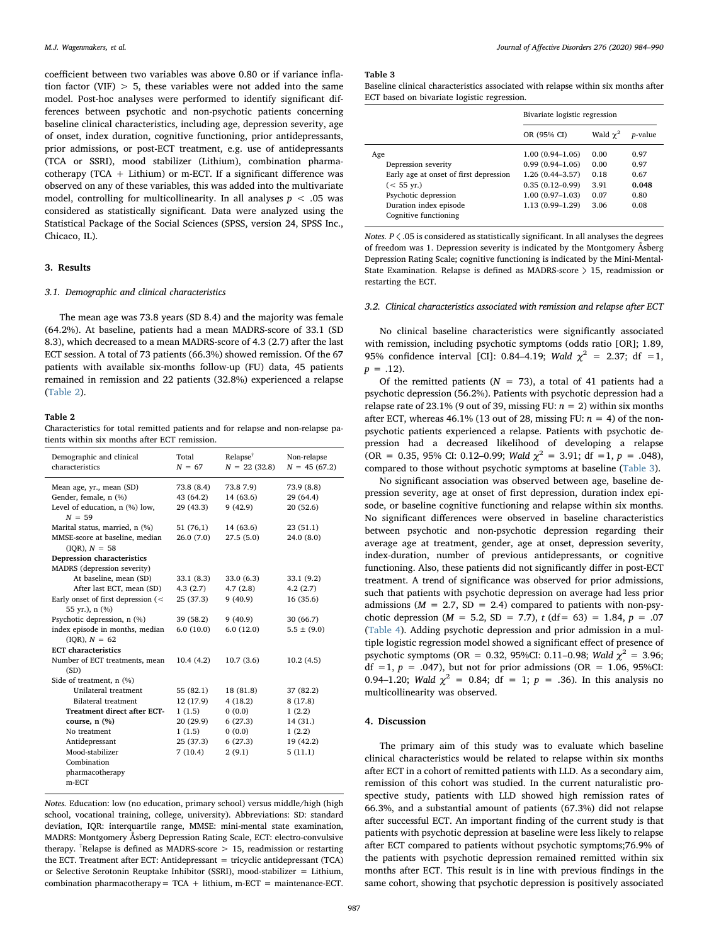coefficient between two variables was above 0.80 or if variance inflation factor (VIF)  $> 5$ , these variables were not added into the same model. Post-hoc analyses were performed to identify significant differences between psychotic and non-psychotic patients concerning baseline clinical characteristics, including age, depression severity, age of onset, index duration, cognitive functioning, prior antidepressants, prior admissions, or post-ECT treatment, e.g. use of antidepressants (TCA or SSRI), mood stabilizer (Lithium), combination pharmacotherapy (TCA  $+$  Lithium) or m-ECT. If a significant difference was observed on any of these variables, this was added into the multivariate model, controlling for multicollinearity. In all analyses  $p < 0.05$  was considered as statistically significant. Data were analyzed using the Statistical Package of the Social Sciences (SPSS, version 24, SPSS Inc., Chicaco, IL).

#### 3. Results

#### 3.1. Demographic and clinical characteristics

The mean age was 73.8 years (SD 8.4) and the majority was female (64.2%). At baseline, patients had a mean MADRS-score of 33.1 (SD 8.3), which decreased to a mean MADRS-score of 4.3 (2.7) after the last ECT session. A total of 73 patients (66.3%) showed remission. Of the 67 patients with available six-months follow-up (FU) data, 45 patients remained in remission and 22 patients (32.8%) experienced a relapse ([Table 2](#page-4-0)).

#### <span id="page-4-0"></span>Table 2

Characteristics for total remitted patients and for relapse and non-relapse patients within six months after ECT remission.

| Demographic and clinical<br>characteristics | Total<br>$N = 67$ | Relapse <sup>†</sup><br>$N = 22$ (32.8) | Non-relapse<br>$N = 45(67.2)$ |
|---------------------------------------------|-------------------|-----------------------------------------|-------------------------------|
| Mean age, yr., mean (SD)                    | 73.8 (8.4)        | 73.87.9                                 | 73.9 (8.8)                    |
| Gender, female, n (%)                       | 43 (64.2)         | 14 (63.6)                               | 29 (64.4)                     |
| Level of education, n (%) low,<br>$N = 59$  | 29 (43.3)         | 9(42.9)                                 | 20(52.6)                      |
| Marital status, married, n (%)              | 51 (76,1)         | 14 (63.6)                               | 23 (51.1)                     |
| MMSE-score at baseline, median              | 26.0(7.0)         | 27.5(5.0)                               | 24.0 (8.0)                    |
| $(IOR), N = 58$                             |                   |                                         |                               |
| Depression characteristics                  |                   |                                         |                               |
| MADRS (depression severity)                 |                   |                                         |                               |
| At baseline, mean (SD)                      | 33.1(8.3)         | 33.0 (6.3)                              | 33.1 (9.2)                    |
| After last ECT, mean (SD)                   | 4.3(2.7)          | 4.7(2.8)                                | 4.2(2.7)                      |
| Early onset of first depression (<          | 25 (37.3)         | 9(40.9)                                 | 16(35.6)                      |
| 55 yr.), n (%)                              |                   |                                         |                               |
| Psychotic depression, n (%)                 | 39 (58.2)         | 9(40.9)                                 | 30 (66.7)                     |
| index episode in months, median             | 6.0(10.0)         | 6.0(12.0)                               | $5.5 \pm (9.0)$               |
| $(IOR), N = 62$                             |                   |                                         |                               |
| <b>ECT</b> characteristics                  |                   |                                         |                               |
| Number of ECT treatments, mean              | 10.4(4.2)         | 10.7(3.6)                               | 10.2(4.5)                     |
| (SD)                                        |                   |                                         |                               |
| Side of treatment, n (%)                    |                   |                                         |                               |
| Unilateral treatment                        | 55 (82.1)         | 18 (81.8)                               | 37 (82.2)                     |
| <b>Bilateral</b> treatment                  | 12 (17.9)         | 4(18.2)                                 | 8(17.8)                       |
| <b>Treatment direct after ECT-</b>          | 1(1.5)            | 0(0.0)                                  | 1(2.2)                        |
| course, $n$ $(\%)$                          | 20 (29.9)         | 6(27.3)                                 | 14(31.)                       |
| No treatment                                | 1(1.5)            | 0(0.0)                                  | 1(2.2)                        |
| Antidepressant                              | 25 (37.3)         | 6(27.3)                                 | 19 (42.2)                     |
| Mood-stabilizer                             | 7(10.4)           | 2(9.1)                                  | 5(11.1)                       |
| Combination                                 |                   |                                         |                               |
| pharmacotherapy                             |                   |                                         |                               |
| m-ECT                                       |                   |                                         |                               |

Notes. Education: low (no education, primary school) versus middle/high (high school, vocational training, college, university). Abbreviations: SD: standard deviation, IQR: interquartile range, MMSE: mini-mental state examination, MADRS: Montgomery Åsberg Depression Rating Scale, ECT: electro-convulsive therapy. <sup>†</sup>Relapse is defined as MADRS-score > 15, readmission or restarting the ECT. Treatment after ECT: Antidepressant = tricyclic antidepressant (TCA) or Selective Serotonin Reuptake Inhibitor (SSRI), mood-stabilizer = Lithium, combination pharmacotherapy= TCA + lithium, m-ECT = maintenance-ECT.

#### <span id="page-4-1"></span>Table 3

Baseline clinical characteristics associated with relapse within six months after ECT based on bivariate logistic regression.

|                                        | Bivariate logistic regression |               |                 |
|----------------------------------------|-------------------------------|---------------|-----------------|
|                                        | OR (95% CI)                   | Wald $\chi^2$ | <i>p</i> -value |
| Age                                    | $1.00(0.94 - 1.06)$           | 0.00          | 0.97            |
| Depression severity                    | $0.99(0.94 - 1.06)$           | 0.00          | 0.97            |
| Early age at onset of first depression | $1.26(0.44 - 3.57)$           | 0.18          | 0.67            |
| $(< 55 \text{ yr.})$                   | $0.35(0.12 - 0.99)$           | 3.91          | 0.048           |
| Psychotic depression                   | $1.00(0.97-1.03)$             | 0.07          | 0.80            |
| Duration index episode                 | 1.13 (0.99-1.29)              | 3.06          | 0.08            |
| Cognitive functioning                  |                               |               |                 |

Notes.  $P \langle .05 \rangle$  is considered as statistically significant. In all analyses the degrees of freedom was 1. Depression severity is indicated by the Montgomery Åsberg Depression Rating Scale; cognitive functioning is indicated by the Mini-Mental-State Examination. Relapse is defined as MADRS-score 〉 15, readmission or restarting the ECT.

#### 3.2. Clinical characteristics associated with remission and relapse after ECT

No clinical baseline characteristics were significantly associated with remission, including psychotic symptoms (odds ratio [OR]; 1.89, 95% confidence interval [CI]: 0.84–4.19; Wald  $\chi^2 = 2.37$ ; df =1,  $p = .12$ ).

Of the remitted patients ( $N = 73$ ), a total of 41 patients had a psychotic depression (56.2%). Patients with psychotic depression had a relapse rate of 23.1% (9 out of 39, missing FU:  $n = 2$ ) within six months after ECT, whereas 46.1% (13 out of 28, missing FU:  $n = 4$ ) of the nonpsychotic patients experienced a relapse. Patients with psychotic depression had a decreased likelihood of developing a relapse (OR = 0.35, 95% CI: 0.12–0.99; Wald  $\chi^2$  = 3.91; df =1, p = .048), compared to those without psychotic symptoms at baseline [\(Table 3](#page-4-1)).

No significant association was observed between age, baseline depression severity, age at onset of first depression, duration index episode, or baseline cognitive functioning and relapse within six months. No significant differences were observed in baseline characteristics between psychotic and non-psychotic depression regarding their average age at treatment, gender, age at onset, depression severity, index-duration, number of previous antidepressants, or cognitive functioning. Also, these patients did not significantly differ in post-ECT treatment. A trend of significance was observed for prior admissions, such that patients with psychotic depression on average had less prior admissions ( $M = 2.7$ , SD = 2.4) compared to patients with non-psychotic depression ( $M = 5.2$ , SD = 7.7), t (df = 63) = 1.84, p = .07 ([Table 4\)](#page-5-0). Adding psychotic depression and prior admission in a multiple logistic regression model showed a significant effect of presence of psychotic symptoms (OR = 0.32, 95%CI: 0.11–0.98; Wald  $\chi^2$  = 3.96; df =1,  $p = .047$ ), but not for prior admissions (OR = 1.06, 95%CI: 0.94–1.20; Wald  $\chi^2$  = 0.84; df = 1; p = .36). In this analysis no multicollinearity was observed.

### 4. Discussion

The primary aim of this study was to evaluate which baseline clinical characteristics would be related to relapse within six months after ECT in a cohort of remitted patients with LLD. As a secondary aim, remission of this cohort was studied. In the current naturalistic prospective study, patients with LLD showed high remission rates of 66.3%, and a substantial amount of patients (67.3%) did not relapse after successful ECT. An important finding of the current study is that patients with psychotic depression at baseline were less likely to relapse after ECT compared to patients without psychotic symptoms;76.9% of the patients with psychotic depression remained remitted within six months after ECT. This result is in line with previous findings in the same cohort, showing that psychotic depression is positively associated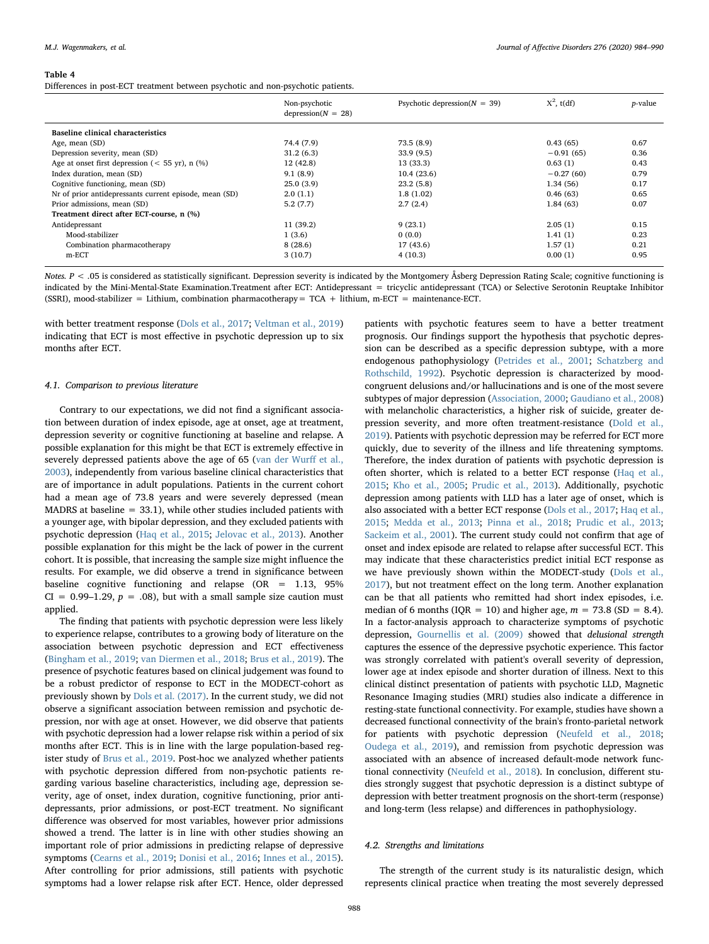#### <span id="page-5-0"></span>Table 4

Differences in post-ECT treatment between psychotic and non-psychotic patients.

|                                                        | Non-psychotic<br>$depression(N = 28)$ | Psychotic depression( $N = 39$ ) | $X^2$ , t(df) | <i>p</i> -value |
|--------------------------------------------------------|---------------------------------------|----------------------------------|---------------|-----------------|
| Baseline clinical characteristics                      |                                       |                                  |               |                 |
| Age, mean (SD)                                         | 74.4 (7.9)                            | 73.5(8.9)                        | 0.43(65)      | 0.67            |
| Depression severity, mean (SD)                         | 31.2(6.3)                             | 33.9(9.5)                        | $-0.91(65)$   | 0.36            |
| Age at onset first depression ( $<$ 55 yr), n (%)      | 12 (42.8)                             | 13 (33.3)                        | 0.63(1)       | 0.43            |
| Index duration, mean (SD)                              | 9.1(8.9)                              | 10.4(23.6)                       | $-0.27(60)$   | 0.79            |
| Cognitive functioning, mean (SD)                       | 25.0(3.9)                             | 23.2(5.8)                        | 1.34(56)      | 0.17            |
| Nr of prior antidepressants current episode, mean (SD) | 2.0(1.1)                              | 1.8(1.02)                        | 0.46(63)      | 0.65            |
| Prior admissions, mean (SD)                            | 5.2(7.7)                              | 2.7(2.4)                         | 1.84(63)      | 0.07            |
| Treatment direct after ECT-course, n (%)               |                                       |                                  |               |                 |
| Antidepressant                                         | 11(39.2)                              | 9(23.1)                          | 2.05(1)       | 0.15            |
| Mood-stabilizer                                        | 1(3.6)                                | 0(0.0)                           | 1.41(1)       | 0.23            |
| Combination pharmacotherapy                            | 8(28.6)                               | 17(43.6)                         | 1.57(1)       | 0.21            |
| $m$ -ECT                                               | 3(10.7)                               | 4(10.3)                          | 0.00(1)       | 0.95            |

Notes.  $P < .05$  is considered as statistically significant. Depression severity is indicated by the Montgomery Åsberg Depression Rating Scale; cognitive functioning is indicated by the Mini-Mental-State Examination.Treatment after ECT: Antidepressant = tricyclic antidepressant (TCA) or Selective Serotonin Reuptake Inhibitor (SSRI), mood-stabilizer = Lithium, combination pharmacotherapy =  $TCA$  + lithium, m-ECT = maintenance-ECT.

with better treatment response [\(Dols et al., 2017](#page-6-0); [Veltman et al., 2019\)](#page-7-21) indicating that ECT is most effective in psychotic depression up to six months after ECT.

#### 4.1. Comparison to previous literature

Contrary to our expectations, we did not find a significant association between duration of index episode, age at onset, age at treatment, depression severity or cognitive functioning at baseline and relapse. A possible explanation for this might be that ECT is extremely effective in severely depressed patients above the age of 65 [\(van der Wur](#page-7-0)ff et al., [2003\)](#page-7-0), independently from various baseline clinical characteristics that are of importance in adult populations. Patients in the current cohort had a mean age of 73.8 years and were severely depressed (mean MADRS at baseline  $= 33.1$ ), while other studies included patients with a younger age, with bipolar depression, and they excluded patients with psychotic depression [\(Haq et al., 2015;](#page-6-6) [Jelovac et al., 2013\)](#page-6-1). Another possible explanation for this might be the lack of power in the current cohort. It is possible, that increasing the sample size might influence the results. For example, we did observe a trend in significance between baseline cognitive functioning and relapse (OR = 1.13, 95%  $CI = 0.99-1.29$ ,  $p = .08$ ), but with a small sample size caution must applied.

The finding that patients with psychotic depression were less likely to experience relapse, contributes to a growing body of literature on the association between psychotic depression and ECT effectiveness ([Bingham et al., 2019](#page-6-13); [van Diermen et al., 2018;](#page-7-1) [Brus et al., 2019\)](#page-6-14). The presence of psychotic features based on clinical judgement was found to be a robust predictor of response to ECT in the MODECT-cohort as previously shown by [Dols et al. \(2017\)](#page-6-0). In the current study, we did not observe a significant association between remission and psychotic depression, nor with age at onset. However, we did observe that patients with psychotic depression had a lower relapse risk within a period of six months after ECT. This is in line with the large population-based register study of [Brus et al., 2019](#page-6-14). Post-hoc we analyzed whether patients with psychotic depression differed from non-psychotic patients regarding various baseline characteristics, including age, depression severity, age of onset, index duration, cognitive functioning, prior antidepressants, prior admissions, or post-ECT treatment. No significant difference was observed for most variables, however prior admissions showed a trend. The latter is in line with other studies showing an important role of prior admissions in predicting relapse of depressive symptoms ([Cearns et al., 2019;](#page-6-15) [Donisi et al., 2016;](#page-6-16) [Innes et al., 2015](#page-6-17)). After controlling for prior admissions, still patients with psychotic symptoms had a lower relapse risk after ECT. Hence, older depressed

patients with psychotic features seem to have a better treatment prognosis. Our findings support the hypothesis that psychotic depression can be described as a specific depression subtype, with a more endogenous pathophysiology ([Petrides et al., 2001](#page-7-22); [Schatzberg and](#page-7-23) [Rothschild, 1992](#page-7-23)). Psychotic depression is characterized by moodcongruent delusions and/or hallucinations and is one of the most severe subtypes of major depression ([Association, 2000](#page-6-10); [Gaudiano et al., 2008\)](#page-6-18) with melancholic characteristics, a higher risk of suicide, greater depression severity, and more often treatment-resistance ([Dold et al.,](#page-6-19) [2019\)](#page-6-19). Patients with psychotic depression may be referred for ECT more quickly, due to severity of the illness and life threatening symptoms. Therefore, the index duration of patients with psychotic depression is often shorter, which is related to a better ECT response ([Haq et al.,](#page-6-6) [2015;](#page-6-6) [Kho et al., 2005;](#page-7-24) [Prudic et al., 2013\)](#page-7-14). Additionally, psychotic depression among patients with LLD has a later age of onset, which is also associated with a better ECT response [\(Dols et al., 2017](#page-6-0); [Haq et al.,](#page-6-6) [2015;](#page-6-6) [Medda et al., 2013](#page-7-12); [Pinna et al., 2018;](#page-7-9) [Prudic et al., 2013](#page-7-14); [Sackeim et al., 2001](#page-7-11)). The current study could not confirm that age of onset and index episode are related to relapse after successful ECT. This may indicate that these characteristics predict initial ECT response as we have previously shown within the MODECT-study ([Dols et al.,](#page-6-0) [2017\)](#page-6-0), but not treatment effect on the long term. Another explanation can be that all patients who remitted had short index episodes, i.e. median of 6 months (IQR = 10) and higher age,  $m = 73.8$  (SD = 8.4). In a factor-analysis approach to characterize symptoms of psychotic depression, [Gournellis et al. \(2009\)](#page-6-20) showed that delusional strength captures the essence of the depressive psychotic experience. This factor was strongly correlated with patient's overall severity of depression, lower age at index episode and shorter duration of illness. Next to this clinical distinct presentation of patients with psychotic LLD, Magnetic Resonance Imaging studies (MRI) studies also indicate a difference in resting-state functional connectivity. For example, studies have shown a decreased functional connectivity of the brain's fronto-parietal network for patients with psychotic depression ([Neufeld et al., 2018](#page-7-25); [Oudega et al., 2019\)](#page-7-26), and remission from psychotic depression was associated with an absence of increased default-mode network functional connectivity [\(Neufeld et al., 2018\)](#page-7-25). In conclusion, different studies strongly suggest that psychotic depression is a distinct subtype of depression with better treatment prognosis on the short-term (response) and long-term (less relapse) and differences in pathophysiology.

#### 4.2. Strengths and limitations

The strength of the current study is its naturalistic design, which represents clinical practice when treating the most severely depressed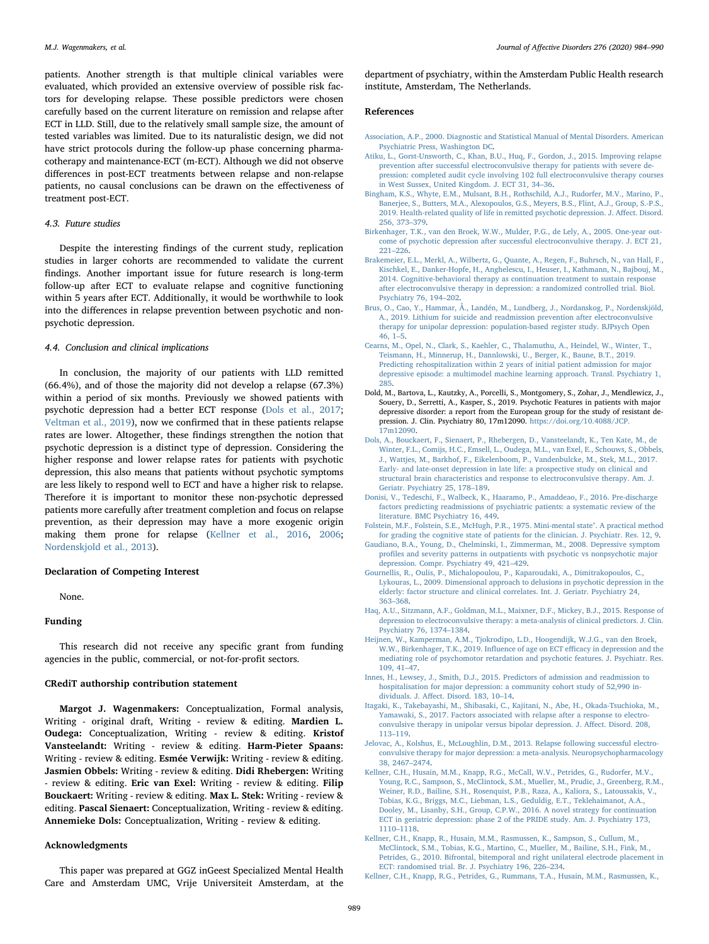patients. Another strength is that multiple clinical variables were evaluated, which provided an extensive overview of possible risk factors for developing relapse. These possible predictors were chosen carefully based on the current literature on remission and relapse after ECT in LLD. Still, due to the relatively small sample size, the amount of tested variables was limited. Due to its naturalistic design, we did not have strict protocols during the follow-up phase concerning pharmacotherapy and maintenance-ECT (m-ECT). Although we did not observe differences in post-ECT treatments between relapse and non-relapse patients, no causal conclusions can be drawn on the effectiveness of treatment post-ECT.

#### 4.3. Future studies

Despite the interesting findings of the current study, replication studies in larger cohorts are recommended to validate the current findings. Another important issue for future research is long-term follow-up after ECT to evaluate relapse and cognitive functioning within 5 years after ECT. Additionally, it would be worthwhile to look into the differences in relapse prevention between psychotic and nonpsychotic depression.

#### 4.4. Conclusion and clinical implications

In conclusion, the majority of our patients with LLD remitted (66.4%), and of those the majority did not develop a relapse (67.3%) within a period of six months. Previously we showed patients with psychotic depression had a better ECT response [\(Dols et al., 2017](#page-6-0); [Veltman et al., 2019](#page-7-21)), now we confirmed that in these patients relapse rates are lower. Altogether, these findings strengthen the notion that psychotic depression is a distinct type of depression. Considering the higher response and lower relapse rates for patients with psychotic depression, this also means that patients without psychotic symptoms are less likely to respond well to ECT and have a higher risk to relapse. Therefore it is important to monitor these non-psychotic depressed patients more carefully after treatment completion and focus on relapse prevention, as their depression may have a more exogenic origin making them prone for relapse [\(Kellner et al., 2016,](#page-6-4) [2006](#page-6-5); [Nordenskjold et al., 2013](#page-7-6)).

#### Declaration of Competing Interest

None.

#### Funding

This research did not receive any specific grant from funding agencies in the public, commercial, or not-for-profit sectors.

#### CRediT authorship contribution statement

Margot J. Wagenmakers: Conceptualization, Formal analysis, Writing - original draft, Writing - review & editing. Mardien L. Oudega: Conceptualization, Writing - review & editing. Kristof Vansteelandt: Writing - review & editing. Harm-Pieter Spaans: Writing - review & editing. Esmée Verwijk: Writing - review & editing. Jasmien Obbels: Writing - review & editing. Didi Rhebergen: Writing - review & editing. Eric van Exel: Writing - review & editing. Filip Bouckaert: Writing - review & editing. Max L. Stek: Writing - review & editing. Pascal Sienaert: Conceptualization, Writing - review & editing. Annemieke Dols: Conceptualization, Writing - review & editing.

#### Acknowledgments

This paper was prepared at GGZ inGeest Specialized Mental Health Care and Amsterdam UMC, Vrije Universiteit Amsterdam, at the

department of psychiatry, within the Amsterdam Public Health research institute, Amsterdam, The Netherlands.

#### References

- <span id="page-6-10"></span>[Association, A.P., 2000. Diagnostic and Statistical Manual of Mental Disorders. American](http://refhub.elsevier.com/S0165-0327(20)32484-8/sbref0001) [Psychiatric Press, Washington DC](http://refhub.elsevier.com/S0165-0327(20)32484-8/sbref0001).
- <span id="page-6-9"></span>[Atiku, L., Gorst-Unsworth, C., Khan, B.U., Huq, F., Gordon, J., 2015. Improving relapse](http://refhub.elsevier.com/S0165-0327(20)32484-8/sbref0002) [prevention after successful electroconvulsive therapy for patients with severe de](http://refhub.elsevier.com/S0165-0327(20)32484-8/sbref0002)[pression: completed audit cycle involving 102 full electroconvulsive therapy courses](http://refhub.elsevier.com/S0165-0327(20)32484-8/sbref0002) [in West Sussex, United Kingdom. J. ECT 31, 34](http://refhub.elsevier.com/S0165-0327(20)32484-8/sbref0002)–36.
- <span id="page-6-13"></span>[Bingham, K.S., Whyte, E.M., Mulsant, B.H., Rothschild, A.J., Rudorfer, M.V., Marino, P.,](http://refhub.elsevier.com/S0165-0327(20)32484-8/sbref0003) [Banerjee, S., Butters, M.A., Alexopoulos, G.S., Meyers, B.S., Flint, A.J., Group, S.-P.S.,](http://refhub.elsevier.com/S0165-0327(20)32484-8/sbref0003) [2019. Health-related quality of life in remitted psychotic depression. J. A](http://refhub.elsevier.com/S0165-0327(20)32484-8/sbref0003)ffect. Disord. [256, 373](http://refhub.elsevier.com/S0165-0327(20)32484-8/sbref0003)–379.
- <span id="page-6-7"></span>[Birkenhager, T.K., van den Broek, W.W., Mulder, P.G., de Lely, A., 2005. One-year out](http://refhub.elsevier.com/S0165-0327(20)32484-8/sbref0004)[come of psychotic depression after successful electroconvulsive therapy. J. ECT 21,](http://refhub.elsevier.com/S0165-0327(20)32484-8/sbref0004) 221–[226](http://refhub.elsevier.com/S0165-0327(20)32484-8/sbref0004).
- <span id="page-6-2"></span>[Brakemeier, E.L., Merkl, A., Wilbertz, G., Quante, A., Regen, F., Buhrsch, N., van Hall, F.,](http://refhub.elsevier.com/S0165-0327(20)32484-8/sbref0005) [Kischkel, E., Danker-Hopfe, H., Anghelescu, I., Heuser, I., Kathmann, N., Bajbouj, M.,](http://refhub.elsevier.com/S0165-0327(20)32484-8/sbref0005) [2014. Cognitive-behavioral therapy as continuation treatment to sustain response](http://refhub.elsevier.com/S0165-0327(20)32484-8/sbref0005) [after electroconvulsive therapy in depression: a randomized controlled trial. Biol.](http://refhub.elsevier.com/S0165-0327(20)32484-8/sbref0005) [Psychiatry 76, 194](http://refhub.elsevier.com/S0165-0327(20)32484-8/sbref0005)–202.
- <span id="page-6-14"></span>[Brus, O., Cao, Y., Hammar, Å., Landén, M., Lundberg, J., Nordanskog, P., Nordenskjöld,](http://refhub.elsevier.com/S0165-0327(20)32484-8/sbref0006) [A., 2019. Lithium for suicide and readmission prevention after electroconvulsive](http://refhub.elsevier.com/S0165-0327(20)32484-8/sbref0006) [therapy for unipolar depression: population-based register study. BJPsych Open](http://refhub.elsevier.com/S0165-0327(20)32484-8/sbref0006) [46, 1](http://refhub.elsevier.com/S0165-0327(20)32484-8/sbref0006)–5.
- <span id="page-6-15"></span>[Cearns, M., Opel, N., Clark, S., Kaehler, C., Thalamuthu, A., Heindel, W., Winter, T.,](http://refhub.elsevier.com/S0165-0327(20)32484-8/sbref0007) [Teismann, H., Minnerup, H., Dannlowski, U., Berger, K., Baune, B.T., 2019.](http://refhub.elsevier.com/S0165-0327(20)32484-8/sbref0007) [Predicting rehospitalization within 2 years of initial patient admission for major](http://refhub.elsevier.com/S0165-0327(20)32484-8/sbref0007) [depressive episode: a multimodel machine learning approach. Transl. Psychiatry 1,](http://refhub.elsevier.com/S0165-0327(20)32484-8/sbref0007) [285](http://refhub.elsevier.com/S0165-0327(20)32484-8/sbref0007).
- <span id="page-6-19"></span>Dold, M., Bartova, L., Kautzky, A., Porcelli, S., Montgomery, S., Zohar, J., Mendlewicz, J., Souery, D., Serretti, A., Kasper, S., 2019. Psychotic Features in patients with major depressive disorder: a report from the European group for the study of resistant depression. J. Clin. Psychiatry 80, 17m12090. [https://doi.org/10.4088/JCP.](https://doi.org/10.4088/JCP.17m12090) [17m12090](https://doi.org/10.4088/JCP.17m12090).
- <span id="page-6-0"></span>[Dols, A., Bouckaert, F., Sienaert, P., Rhebergen, D., Vansteelandt, K., Ten Kate, M., de](http://refhub.elsevier.com/S0165-0327(20)32484-8/sbref0009) [Winter, F.L., Comijs, H.C., Emsell, L., Oudega, M.L., van Exel, E., Schouws, S., Obbels,](http://refhub.elsevier.com/S0165-0327(20)32484-8/sbref0009) [J., Wattjes, M., Barkhof, F., Eikelenboom, P., Vandenbulcke, M., Stek, M.L., 2017.](http://refhub.elsevier.com/S0165-0327(20)32484-8/sbref0009) [Early- and late-onset depression in late life: a prospective study on clinical and](http://refhub.elsevier.com/S0165-0327(20)32484-8/sbref0009) [structural brain characteristics and response to electroconvulsive therapy. Am. J.](http://refhub.elsevier.com/S0165-0327(20)32484-8/sbref0009) [Geriatr. Psychiatry 25, 178](http://refhub.elsevier.com/S0165-0327(20)32484-8/sbref0009)–189.
- <span id="page-6-16"></span>[Donisi, V., Tedeschi, F., Walbeck, K., Haaramo, P., Amaddeao, F., 2016. Pre-discharge](http://refhub.elsevier.com/S0165-0327(20)32484-8/sbref0010) [factors predicting readmissions of psychiatric patients: a systematic review of the](http://refhub.elsevier.com/S0165-0327(20)32484-8/sbref0010) [literature. BMC Psychiatry 16, 449.](http://refhub.elsevier.com/S0165-0327(20)32484-8/sbref0010)
- <span id="page-6-11"></span>[Folstein, M.F., Folstein, S.E., McHugh, P.R., 1975. Mini-mental state". A practical method](http://refhub.elsevier.com/S0165-0327(20)32484-8/sbref0011) [for grading the cognitive state of patients for the clinician. J. Psychiatr. Res. 12, 9.](http://refhub.elsevier.com/S0165-0327(20)32484-8/sbref0011)
- <span id="page-6-18"></span>[Gaudiano, B.A., Young, D., Chelminski, I., Zimmerman, M., 2008. Depressive symptom](http://refhub.elsevier.com/S0165-0327(20)32484-8/sbref0012) profi[les and severity patterns in outpatients with psychotic vs nonpsychotic major](http://refhub.elsevier.com/S0165-0327(20)32484-8/sbref0012) [depression. Compr. Psychiatry 49, 421](http://refhub.elsevier.com/S0165-0327(20)32484-8/sbref0012)–429.
- <span id="page-6-20"></span>[Gournellis, R., Oulis, P., Michalopoulou, P., Kaparoudaki, A., Dimitrakopoulos, C.,](http://refhub.elsevier.com/S0165-0327(20)32484-8/sbref0013) [Lykouras, L., 2009. Dimensional approach to delusions in psychotic depression in the](http://refhub.elsevier.com/S0165-0327(20)32484-8/sbref0013) [elderly: factor structure and clinical correlates. Int. J. Geriatr. Psychiatry 24,](http://refhub.elsevier.com/S0165-0327(20)32484-8/sbref0013) 363–[368](http://refhub.elsevier.com/S0165-0327(20)32484-8/sbref0013).
- <span id="page-6-6"></span>[Haq, A.U., Sitzmann, A.F., Goldman, M.L., Maixner, D.F., Mickey, B.J., 2015. Response of](http://refhub.elsevier.com/S0165-0327(20)32484-8/sbref0014) [depression to electroconvulsive therapy: a meta-analysis of clinical predictors. J. Clin.](http://refhub.elsevier.com/S0165-0327(20)32484-8/sbref0014) [Psychiatry 76, 1374](http://refhub.elsevier.com/S0165-0327(20)32484-8/sbref0014)–1384.
- <span id="page-6-8"></span>[Heijnen, W., Kamperman, A.M., Tjokrodipo, L.D., Hoogendijk, W.J.G., van den Broek,](http://refhub.elsevier.com/S0165-0327(20)32484-8/sbref0015) [W.W., Birkenhager, T.K., 2019. In](http://refhub.elsevier.com/S0165-0327(20)32484-8/sbref0015)fluence of age on ECT efficacy in depression and the [mediating role of psychomotor retardation and psychotic features. J. Psychiatr. Res.](http://refhub.elsevier.com/S0165-0327(20)32484-8/sbref0015) [109, 41](http://refhub.elsevier.com/S0165-0327(20)32484-8/sbref0015)–47.
- <span id="page-6-17"></span>[Innes, H., Lewsey, J., Smith, D.J., 2015. Predictors of admission and readmission to](http://refhub.elsevier.com/S0165-0327(20)32484-8/sbref0016) [hospitalisation for major depression: a community cohort study of 52,990 in](http://refhub.elsevier.com/S0165-0327(20)32484-8/sbref0016)dividuals. J. Aff[ect. Disord. 183, 10](http://refhub.elsevier.com/S0165-0327(20)32484-8/sbref0016)–14.
- <span id="page-6-3"></span>Itagaki, [K., Takebayashi, M., Shibasaki, C., Kajitani, N., Abe, H., Okada-Tsuchioka, M.,](http://refhub.elsevier.com/S0165-0327(20)32484-8/sbref0017) [Yamawaki, S., 2017. Factors associated with relapse after a response to electro](http://refhub.elsevier.com/S0165-0327(20)32484-8/sbref0017)[convulsive therapy in unipolar versus bipolar depression. J. A](http://refhub.elsevier.com/S0165-0327(20)32484-8/sbref0017)ffect. Disord. 208, 113–[119](http://refhub.elsevier.com/S0165-0327(20)32484-8/sbref0017).
- <span id="page-6-1"></span>[Jelovac, A., Kolshus, E., McLoughlin, D.M., 2013. Relapse following successful electro](http://refhub.elsevier.com/S0165-0327(20)32484-8/sbref0018)[convulsive therapy for major depression: a meta-analysis. Neuropsychopharmacology](http://refhub.elsevier.com/S0165-0327(20)32484-8/sbref0018) [38, 2467](http://refhub.elsevier.com/S0165-0327(20)32484-8/sbref0018)–2474.
- <span id="page-6-4"></span>[Kellner, C.H., Husain, M.M., Knapp, R.G., McCall, W.V., Petrides, G., Rudorfer, M.V.,](http://refhub.elsevier.com/S0165-0327(20)32484-8/sbref0019) [Young, R.C., Sampson, S., McClintock, S.M., Mueller, M., Prudic, J., Greenberg, R.M.,](http://refhub.elsevier.com/S0165-0327(20)32484-8/sbref0019) [Weiner, R.D., Bailine, S.H., Rosenquist, P.B., Raza, A., Kaliora, S., Latoussakis, V.,](http://refhub.elsevier.com/S0165-0327(20)32484-8/sbref0019) [Tobias, K.G., Briggs, M.C., Liebman, L.S., Geduldig, E.T., Teklehaimanot, A.A.,](http://refhub.elsevier.com/S0165-0327(20)32484-8/sbref0019) [Dooley, M., Lisanby, S.H., Group, C.P.W., 2016. A novel strategy for continuation](http://refhub.elsevier.com/S0165-0327(20)32484-8/sbref0019) [ECT in geriatric depression: phase 2 of the PRIDE study. Am. J. Psychiatry 173,](http://refhub.elsevier.com/S0165-0327(20)32484-8/sbref0019) 1110–[1118](http://refhub.elsevier.com/S0165-0327(20)32484-8/sbref0019).
- <span id="page-6-12"></span>[Kellner, C.H., Knapp, R., Husain, M.M., Rasmussen, K., Sampson, S., Cullum, M.,](http://refhub.elsevier.com/S0165-0327(20)32484-8/sbref0020) [McClintock, S.M., Tobias, K.G., Martino, C., Mueller, M., Bailine, S.H., Fink, M.,](http://refhub.elsevier.com/S0165-0327(20)32484-8/sbref0020) [Petrides, G., 2010. Bifrontal, bitemporal and right unilateral electrode placement in](http://refhub.elsevier.com/S0165-0327(20)32484-8/sbref0020) [ECT: randomised trial. Br. J. Psychiatry 196, 226](http://refhub.elsevier.com/S0165-0327(20)32484-8/sbref0020)–234.
- <span id="page-6-5"></span>[Kellner, C.H., Knapp, R.G., Petrides, G., Rummans, T.A., Husain, M.M., Rasmussen, K.,](http://refhub.elsevier.com/S0165-0327(20)32484-8/sbref0021)